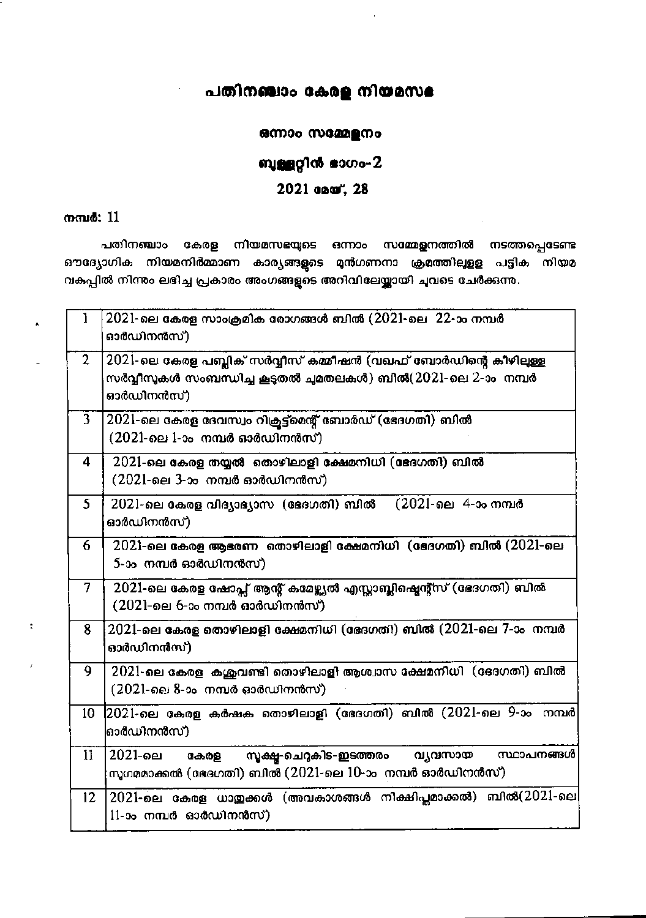## പതിനഞ്ചാം കേരള നിയമസഭ

#### ഒന്നാം സമ്മേളനം

## ബുള്ളറ്റിൻ ഭാഗം-2

### 2021 apar, 28

#### നമ്പർ: 11

 $\frac{1}{2}$ 

 $\ddot{\phantom{a}}$ 

പതിനഞ്ചാം കേരള നിയമസഭയുടെ ഒന്നാം സമ്മേളനത്തിൽ നടത്തപ്പെടേണ്ട ഔദ്യോഗിക നിയമനിർമ്മാണ കാര്യങ്ങളുടെ മുൻഗണനാ ക്രമത്തിലുളള പട്ടിക നിയമ വകപ്പിൽ നിന്നും ലഭിച്ച പ്രകാരം അംഗങ്ങളുടെ അറിവിലേയ്ക്കായി ചുവടെ ചേർക്കുന്നു.

| 1               | $2021$ -ലെ കേരള സാംക്രമിക രോഗങ്ങൾ ബിൽ $(2021$ -ലെ $22$ -ാം നമ്പർ<br>ഓർഡിനൻസ്)                                                                 |
|-----------------|-----------------------------------------------------------------------------------------------------------------------------------------------|
| $\overline{2}$  | 2021-ലെ കേരള പബ്ലിക് സർവ്വീസ് കമ്മീഷൻ (വഖഫ് ബോർഡിന്റെ കീഴിലുള്ള<br>സർവ്വീസുകൾ സംബന്ധിച്ച കൂടുതൽ ചുമതലകൾ) ബിൽ(2021-ലെ 2-ാം  നമ്പർ<br>ഓർഡിനൻസ്) |
| 3               | 2021-ലെ കേരള ദേവസ്വം റിക്രട്ട്മെന്റ് ബോർഡ് (ഭേദഗതി) ബിൽ<br>$(2021$ -ലെ 1-ാം നമ്പർ ഓർഡിനൻസ്)                                                   |
| 4               | 2021-ലെ കേരള തയ്യൽ തൊഴിലാളി ക്ഷേമനിധി (ഭേദഗതി) ബിൽ<br>(2021-ലെ 3-ാം നമ്പർ ഓർഡിനൻസ്)                                                           |
| 5.              | (2021-ലെ 4-ാം നമ്പർ<br>2021-ലെ കേരള വിദ്യാഭ്യാസ(ഭേദഗതി) ബിൽ<br>ഓർഡിനൻസ്)                                                                      |
| 6               | 2021-ലെ കേരള ആഭരണ  തൊഴിലാളി ക്ഷേമനിധി  (ഭേദഗതി) ബിൽ (2021-ലെ<br>5-ാം നമ്പർ ഓർഡിനൻസ്)                                                          |
| 7               | 2021-ലെ കേരള ഷോപ്സ് ആന്റ് കമേഴ്ച്ചൽ എസ്സാബ്ലിഷ്മെന്റ്സ് (ഭേദഗതി) ബിൽ<br>(2021-ലെ 6-ാം നമ്പർ ഓർഡിനൻസ്).                                        |
| 8               | $2021$ -ലെ കേരള തൊഴിലാളി ക്ഷേമനിധി (ഭേദഗതി) ബിൽ ( $2021$ -ലെ $7$ -ാം നമ്പർ<br>ഓർഡിനൻസ്)                                                       |
| 9               | 2021-ലെ കേരള കശ്കവണ്ടി തൊഴിലാളി ആശ്വാസ ക്ഷേമനിധി (ഭേദഗതി) ബിൽ<br>(2021-ലെ 8-ാം നമ്പർ ഓർഡിനൻസ്)                                                |
| 10              | (2021-ലെ കേരള കർഷക തൊഴിലാളി (ഭേദഗതി) ബിൽ (2021-ലെ 9-ാം നമ്പർ<br>ഓരഡിനൻസ്)                                                                     |
| $\mathbf{11}$   | 2021-ലെ<br>സ്ഥാപനങ്ങൾ<br>സൂക്ഷ്യ-ചെറുകിട-ഇടത്തരം<br>വ്യവസായ<br>കേരള<br>സുഗമമാക്കൽ (ഭേദഗതി) ബിൽ (2021-ലെ 10-ാം  നമ്പർ ഓർഡിനൻസ്)                |
| 12 <sup>2</sup> | 2021-ലെ കേരള ധാതുക്കൾ (അവകാശങ്ങൾ നിക്ഷിപ്തമാക്കൽ) ബിൽ(2021-ലെ<br>11-ാം നമ്പർ ഓർഡിനൻസ്)                                                        |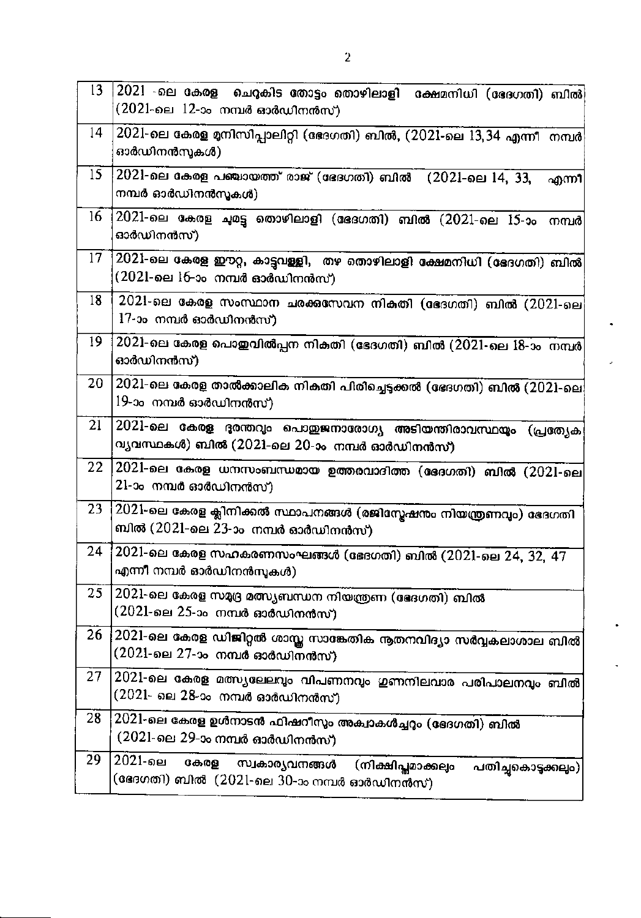| 13 | 2021 -ലെ കേരള  ചെറുകിട തോട്ടം തൊഴിലാളി  ക്ഷേമനിധി (ഭേദഗതി) ബിൽ $\vert$<br>$(2021$ -ലെ $12$ -ാം നമ്പർ ഓർഡിനൻസ്)                            |
|----|-------------------------------------------------------------------------------------------------------------------------------------------|
| 14 | 2021-ലെ കേരള മനിസിപ്പാലിറ്റി (ഭോഗതി) ബിൽ, (2021-ലെ 13,34 എന്നീ  നമ്പർ<br>ഓർഡിനൻസുകൾ).                                                     |
| 15 | 2021-ലെ കേരള പഞ്ചായത്ത് രാജ് (ഭേദഗതി) ബിൽ (2021-ലെ 14, 33,<br>എന്നീ<br>നമ്പർ ഓർഡിനൻസൂകൾ)                                                  |
| 16 | $2021$ -ലെ കേരള ചുമട്ടു തൊഴിലാളി (ഭേദഗതി) ബിൽ $(2021$ -ലെ $15$ -ാം<br>നമ്പർ<br>ഓർഡിനൻസ്)                                                  |
| 17 | 2021-ലെ കേരള ഈറ്റ, കാട്ടവള്ളി, "തഴ തൊഴിലാളി ക്ഷേമനിധി (ഭേദഗതി) ബിൽ<br>$(2021$ -ലെ $16$ -ാം നമ്പർ ഓർഡിനൻസ്)                                |
| 18 | $2021$ -ലെ കേരള സംസ്ഥാന ചരക്കസേവന നികതി (ഭേദഗതി) ബിൽ ( $2021$ -ലെ<br>17-ാം നമ്പർ ഓർഡിനൻസ്)                                                |
| 19 | 2021-ലെ കേരള പൊഇവിൽപ്പന നികതി (ഭേദഗതി) ബിൽ (2021-ലെ 18-ാം  നമ്പർ<br>ഓർഡിനൻസ്)                                                             |
| 20 | 2021-ലെ കേരള താൽക്കാലിക നികതി പിരിച്ചെടുക്കൽ (ഭേദഗതി) ബിൽ (2021-ലെ<br>19-ാം നമ്പർ ഓർഡിനൻസ്)                                               |
| 21 | 2021-ലെ കേരള ദരന്തവും പൊതുജനാരോഗ്യ അടിയന്തിരാവസ്ഥയും (പ്രത്യേക<br>വ്യവസ്ഥകൾ) ബിൽ (2021-ലെ 20-ാം നമ്പർ ഓർഡിനൻസ്)                           |
| 22 | $2021$ -ലെ കേരള ധനസംബന്ധമായ ഉത്തരവാദിത്ത (ഭേദഗതി) ബിൽ (2021-ലെ<br>21-ാം നമ്പർ ഓർഡിനൻസ്)                                                   |
| 23 | 2021-ലെ കേരള ക്ലിനിക്കൽ സ്ഥാപനങ്ങൾ (രജിസ്കേഷനും നിയന്ത്രണവും) ഭേദഗതി<br>ബിൽ (2021-ലെ 23-ാം  നമ്പർ ഓർഡിനൻസ്)                               |
| 24 | $2021$ -ലെ കേരള സഹകരണസംഘങ്ങൾ (ഭേദഗതി) ബിൽ ( $2021$ -ലെ $24,\,32,\,47$<br>എന്നീ നമ്പർ ഓർഡിനൻസുകൾ).                                         |
| 25 | 2021-ലെ കേരള സമ്യദ്ര മത്സ്യബന്ധന നിയന്ത്രണ (ഭേദഗതി) ബിൽ<br>(2021-ലെ 25-ാം നമ്പർ ഓർഡിനൻസ്)                                                 |
| 26 | 2021-ലെ കേരള ഡിജിറ്റൽ ശാസ്ത സാങ്കേതിക നൂതനവിദ്യാ സർവ്വകലാശാല ബിൽ<br>(2021-ലെ 27-ാം നമ്പർ ഓർഡിനൻസ്)                                        |
| 27 | 2021-ലെ കേരള മത്സ്യലേലവും വിപണനവും ഇണനിലവാര പരിപാലനവും ബിൽ<br>(2021- ലെ 28-ാം നമ്പർ ഓർഡിനൻസ്)                                             |
| 28 | 2021-ലെ കേരള ഉൾനാടൻ ഫിഷറീസും അക്വാകൾച്ചറും (ഭേദഗതി) ബിൽ<br>(2021-ലെ 29-ാം നമ്പർ ഓർഡിനൻസ്)                                                 |
| 29 | 2021-ലെ<br>കേരള<br>സ്വകാര്യവനങ്ങൾ<br>(നിക്ഷിപ്പമാക്കല <del>്</del> ക<br>പതിച്ചകൊടുക്കലും)<br>(ഭേദഗതി) ബിൽ  (2021-ലെ 30-ാം നമ്പർ ഓർഡിനൻസ്) |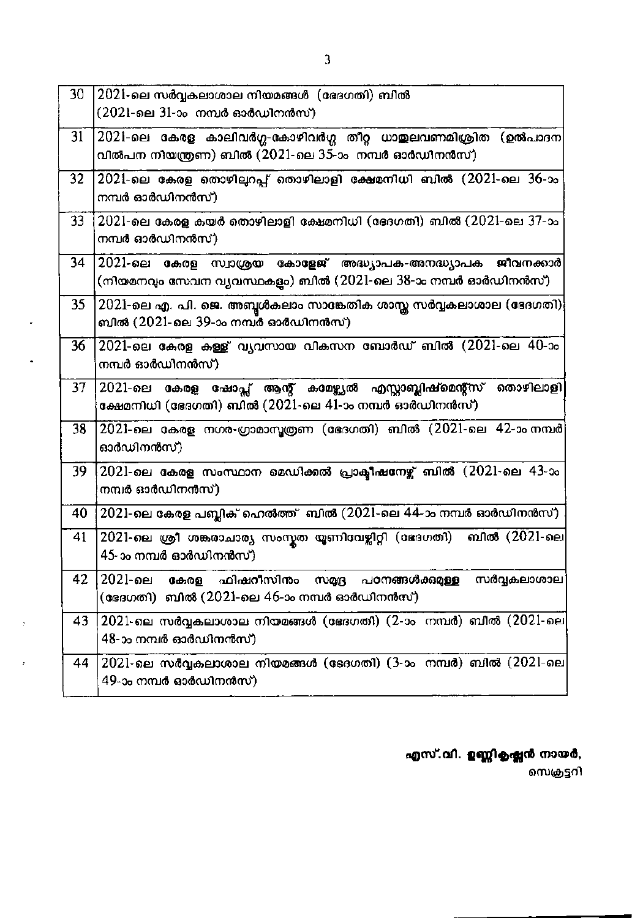| 30              | 2021-ലെ സർവ്വകലാശാല നിയമങ്ങൾ (ഭേദഗതി) ബിൽ<br>(2021-ലെ 31-ാം നമ്പർ ഓർഡിനൻസ്)                                                  |
|-----------------|------------------------------------------------------------------------------------------------------------------------------|
| 31              | 2021-ലെ കേരള കാലിവർഗ്ഗ-കോഴിവർഗ്ഗ തീറ്റ ധാതുലവണമിശ്രിത (ഉൽപാദന<br>വിൽപന നിയന്ത്രണ) ബിൽ (2021-ലെ 35-ാം  നമ്പർ ഓർഡിനൻസ്)        |
| 32              | $2021$ -ലെ കേരള തൊഴില്പറപ്പ് തൊഴിലാളി ക്ഷേമനിധി ബിൽ $(2021$ -ലെ $36$ -ാം<br>നമ്പർ ഓർഡിനൻസ്)                                  |
| 33 <sup>2</sup> | $2021$ -ലെ കേരള കയർ തൊഴിലാളി ക്ഷേമനിധി (ഭേദഗതി) ബിൽ ( $2021$ -ലെ 37-ാം<br>നമ്പർ ഓർഡിനൻസ്)                                    |
| 34              | 2021-ലെ കേരള സ്വാശ്രയ കോളേജ് അദ്ധ്യാപക-അനദ്ധ്യാപക ജീവനക്കാർ<br>(നിയമനവും സേവന വ്യവസ്ഥകളം) ബിൽ (2021-ലെ 38-ാം നമ്പർ ഓർഡിനൻസ്) |
| 35              | $2021$ -ലെ എ. പി. ജെ. അബൂൾകലാം സാങ്കേതിക ശാസ്ത സർവ്വകലാശാല (ഭേദഗതി)<br>ബിൽ (2021-ലെ 39-ാം നമ്പർ ഓർഡിനൻസ്)                    |
| 36              | $2021$ -ലെ കേരള കള്ള് വ്യവസായ വികസന ബോർഡ് ബിൽ $(2021$ -ലെ 40-ാം<br>നമ്പർ ഓർഡിനൻസ്)                                           |
| 37              | 2021-ലെ കേരള ഷോപ്പ് ആന്റ് കാമഴ്ച്യൽ എസ്സാബ്ലിഷ്മെന്റ്സ് തൊഴിലാളി<br>ക്ഷേമനിധി (ഭേദഗതി) ബിൽ (2021-ലെ 41-ാം നമ്പർ ഓർഡിനൻസ്)    |
| 38              | 2021-ലെ കേരള നഗര-ഗ്രാമാസൂത്രണ (ഭേദഗതി) ബിൽ (2021-ലെ 42-ാം നമ്പർ<br>ഓർഡിനൻസ്)                                                 |
| 39              | $2021$ -ലെ കേരള സംസ്ഥാന മെഡിക്കൽ പ്രാക്ടീഷനേഴ്ച് ബിൽ (2021-ലെ 43-ാം<br>നമ്പർ ഓർഡിനൻസ്)                                       |
| 40              | $2021$ -ലെ കേരള പബ്ലിക് ഹെൽത്ത് ബിൽ ( $2021$ -ലെ 44-ാം നമ്പർ ഓർഡിനൻസ്)                                                       |
| 41              | 2021-ലെ ശ്രീ ശങ്കരാചാര്യ സംസ്കത യൂണിവേഴ്ലിറ്റി (ഭേദഗതി)<br>ബിൽ (2021-ലെ<br>45-ാം നമ്പർ ഓർഡിനൻസ്)                             |
| 42              | $2021 - 0e1$<br>ഫിഷറീസിനം<br>പഠനങ്ങൾക്കുമുള്ള<br>സർവ്വകലാശാല<br>സമദ്ര<br>കേരള<br>(ഭേദഗതി) ബിൽ (2021-ലെ 46-ാം നമ്പർ ഓർഡിനൻസ്) |
| 43              | $2021$ -ലെ സർവ്വകലാശാല നിയമങ്ങൾ (ഭേദഗതി) (2-ാം നമ്പർ) ബിൽ (2021-ലെ<br>48-ാം നമ്പർ ഓർഡിനൻസ്)                                  |
| 44              | $2021$ -ലെ സർവ്വകലാശാല നിയമങ്ങൾ (ഭേദഗതി) (3-ാം നമ്പർ) ബിൽ (2021-ലെ<br>49-ാം നമ്പർ ഓർഡിനൻസ്)                                  |

 $\ddot{\phantom{0}}$ 

 $\blacksquare$ 

 $\cdot$ 

 $\epsilon$ 

എസ്.വി. ഉണ്ണികൃഷ്ണൻ നായർ,

സെക്രട്ടറി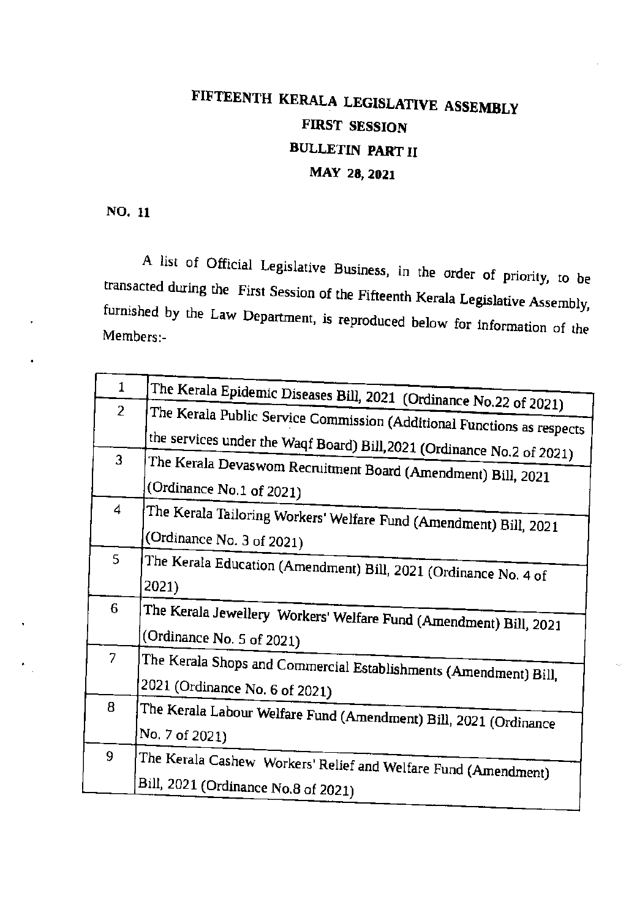# FIFTEENTH KERALA LEGISLATIVE ASSEMBLY **FIRST SESSION BULLETIN PART II** MAY 28, 2021

NO. 11

A list of Official Legislative Business, in the order of priority, to be transacted during the First Session of the Fifteenth Kerala Legislative Assembly, furnished by the Law Department, is reproduced below for information of the Members:-

| $\mathbf{1}$                                                      | The Kerala Epidemic Diseases Bill, 2021 (Ordinance No.22 of 2021)                  |  |  |
|-------------------------------------------------------------------|------------------------------------------------------------------------------------|--|--|
| $\overline{2}$                                                    | The Kerala Public Service Commission (Additional Functions as respects             |  |  |
|                                                                   | the services under the Waqf Board) Bill, 2021 (Ordinance No.2 of 2021)             |  |  |
| 3<br>The Kerala Devaswom Recruitment Board (Amendment) Bill, 2021 |                                                                                    |  |  |
|                                                                   | (Ordinance No.1 of 2021)                                                           |  |  |
| 4                                                                 |                                                                                    |  |  |
|                                                                   | The Kerala Tailoring Workers' Welfare Fund (Amendment) Bill, 2021                  |  |  |
|                                                                   | (Ordinance No. 3 of 2021)                                                          |  |  |
| 5                                                                 | The Kerala Education (Amendment) Bill, 2021 (Ordinance No. 4 of                    |  |  |
|                                                                   | 2021)                                                                              |  |  |
| 6                                                                 | The Kerala Jewellery Workers' Welfare Fund (Amendment) Bill, 2021                  |  |  |
|                                                                   | (Ordinance No. 5 of 2021)                                                          |  |  |
| 7                                                                 | The Kerala Shops and Commercial Establishments (Amendment) Bill,                   |  |  |
|                                                                   | 2021 (Ordinance No. 6 of 2021)                                                     |  |  |
| 8                                                                 |                                                                                    |  |  |
|                                                                   | The Kerala Labour Welfare Fund (Amendment) Bill, 2021 (Ordinance<br>No. 7 of 2021) |  |  |
| 9                                                                 |                                                                                    |  |  |
|                                                                   | The Kerala Cashew Workers' Relief and Welfare Fund (Amendment)                     |  |  |
|                                                                   | Bill, 2021 (Ordinance No.8 of 2021)                                                |  |  |
|                                                                   |                                                                                    |  |  |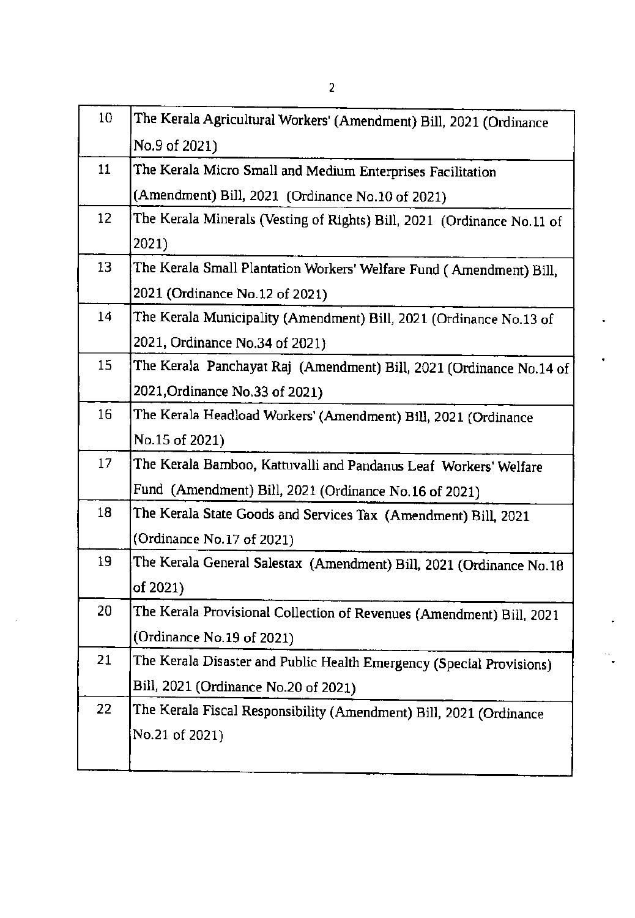| 10 | The Kerala Agricultural Workers' (Amendment) Bill, 2021 (Ordinance     |
|----|------------------------------------------------------------------------|
|    | No.9 of 2021)                                                          |
| 11 | The Kerala Micro Small and Medium Enterprises Facilitation             |
|    | (Amendment) Bill, 2021 (Ordinance No.10 of 2021)                       |
| 12 | The Kerala Minerals (Vesting of Rights) Bill, 2021 (Ordinance No.11 of |
|    | 2021)                                                                  |
| 13 | The Kerala Small Plantation Workers' Welfare Fund (Amendment) Bill,    |
|    | 2021 (Ordinance No.12 of 2021)                                         |
| 14 | The Kerala Municipality (Amendment) Bill, 2021 (Ordinance No.13 of     |
|    | 2021, Ordinance No.34 of 2021)                                         |
| 15 | The Kerala Panchayat Raj (Amendment) Bill, 2021 (Ordinance No.14 of    |
|    | 2021, Ordinance No.33 of 2021)                                         |
| 16 | The Kerala Headload Workers' (Amendment) Bill, 2021 (Ordinance         |
|    | No.15 of 2021)                                                         |
| 17 | The Kerala Bamboo, Kattuvalli and Pandanus Leaf Workers' Welfare       |
|    | Fund (Amendment) Bill, 2021 (Ordinance No.16 of 2021)                  |
| 18 | The Kerala State Goods and Services Tax (Amendment) Bill, 2021         |
|    | (Ordinance No.17 of 2021)                                              |
| 19 | The Kerala General Salestax (Amendment) Bill, 2021 (Ordinance No.18    |
|    | of 2021)                                                               |
| 20 | The Kerala Provisional Collection of Revenues (Amendment) Bill, 2021   |
|    | (Ordinance No.19 of 2021)                                              |
| 21 | The Kerala Disaster and Public Health Emergency (Special Provisions)   |
|    | Bill, 2021 (Ordinance No.20 of 2021)                                   |
| 22 | The Kerala Fiscal Responsibility (Amendment) Bill, 2021 (Ordinance     |
|    | No.21 of 2021)                                                         |
|    |                                                                        |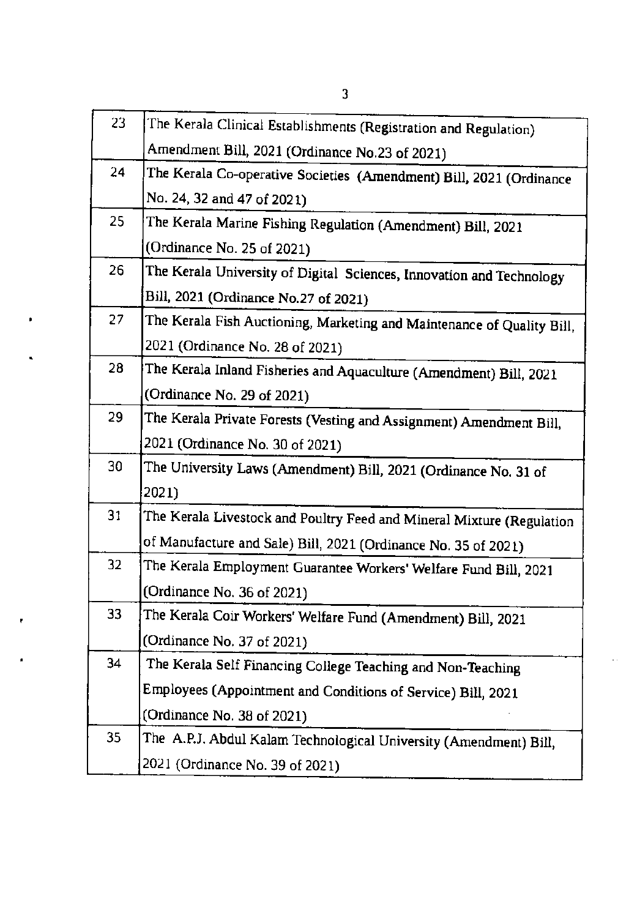| 23. | The Kerala Clinical Establishments (Registration and Regulation)       |
|-----|------------------------------------------------------------------------|
|     | Amendment Bill, 2021 (Ordinance No.23 of 2021)                         |
| 24  | The Kerala Co-operative Societies  (Amendment) Bill, 2021 (Ordinance   |
|     | No. 24, 32 and 47 of 2021)                                             |
| 25  | The Kerala Marine Fishing Regulation (Amendment) Bill, 2021            |
|     | (Ordinance No. 25 of 2021)                                             |
| 26  | The Kerala University of Digital Sciences, Innovation and Technology   |
|     | Bill, 2021 (Ordinance No.27 of 2021)                                   |
| 27  | The Kerala Fish Auctioning, Marketing and Maintenance of Quality Bill, |
|     | 2021 (Ordinance No. 28 of 2021)                                        |
| 28  | The Kerala Inland Fisheries and Aquaculture (Amendment) Bill, 2021     |
|     | (Ordinance No. 29 of 2021)                                             |
| 29  | The Kerala Private Forests (Vesting and Assignment) Amendment Bill,    |
|     | 2021 (Ordinance No. 30 of 2021)                                        |
| 30  | The University Laws (Amendment) Bill, 2021 (Ordinance No. 31 of        |
|     | 2021)                                                                  |
| 31  | The Kerala Livestock and Poultry Feed and Mineral Mixture (Regulation  |
|     | of Manufacture and Sale) Bill, 2021 (Ordinance No. 35 of 2021)         |
| 32  | The Kerala Employment Guarantee Workers' Welfare Fund Bill, 2021       |
|     | (Ordinance No. 36 of 2021)                                             |
| 33  | The Kerala Coir Workers' Welfare Fund (Amendment) Bill, 2021           |
|     | (Ordinance No. 37 of 2021)                                             |
| 34  | The Kerala Self Financing College Teaching and Non-Teaching            |
|     | Employees (Appointment and Conditions of Service) Bill, 2021           |
|     | (Ordinance No. 38 of 2021)                                             |
| 35  | The A.P.J. Abdul Kalam Technological University (Amendment) Bill,      |
|     | 2021 (Ordinance No. 39 of 2021)                                        |